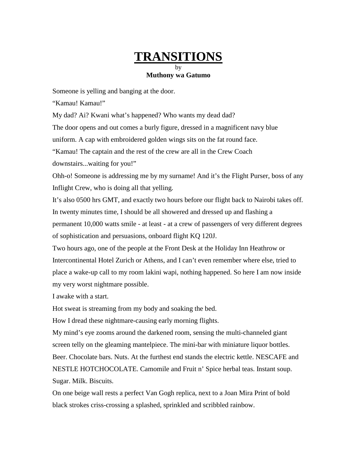## **TRANSITIONS**

## by **Muthony wa Gatumo**

Someone is yelling and banging at the door.

"Kamau! Kamau!"

My dad? Ai? Kwani what's happened? Who wants my dead dad?

The door opens and out comes a burly figure, dressed in a magnificent navy blue

uniform. A cap with embroidered golden wings sits on the fat round face.

"Kamau! The captain and the rest of the crew are all in the Crew Coach

downstairs...waiting for you!"

Ohh-o! Someone is addressing me by my surname! And it's the Flight Purser, boss of any Inflight Crew, who is doing all that yelling.

It's also 0500 hrs GMT, and exactly two hours before our flight back to Nairobi takes off. In twenty minutes time, I should be all showered and dressed up and flashing a permanent 10,000 watts smile - at least - at a crew of passengers of very different degrees of sophistication and persuasions, onboard flight KQ 120J.

Two hours ago, one of the people at the Front Desk at the Holiday Inn Heathrow or Intercontinental Hotel Zurich or Athens, and I can't even remember where else, tried to place a wake-up call to my room lakini wapi, nothing happened. So here I am now inside my very worst nightmare possible.

I awake with a start.

Hot sweat is streaming from my body and soaking the bed.

How I dread these nightmare-causing early morning flights.

My mind's eye zooms around the darkened room, sensing the multi-channeled giant screen telly on the gleaming mantelpiece. The mini-bar with miniature liquor bottles. Beer. Chocolate bars. Nuts. At the furthest end stands the electric kettle. NESCAFE and NESTLE HOTCHOCOLATE. Camomile and Fruit n' Spice herbal teas. Instant soup. Sugar. Milk. Biscuits.

On one beige wall rests a perfect Van Gogh replica, next to a Joan Mira Print of bold black strokes criss-crossing a splashed, sprinkled and scribbled rainbow.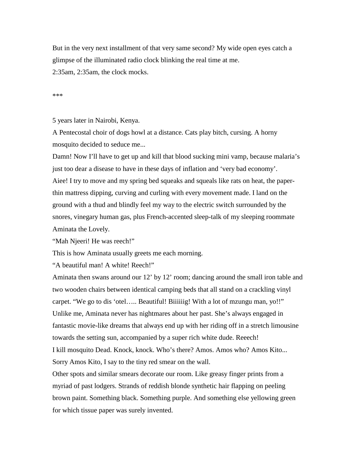But in the very next installment of that very same second? My wide open eyes catch a glimpse of the illuminated radio clock blinking the real time at me. 2:35am, 2:35am, the clock mocks.

\*\*\*

5 years later in Nairobi, Kenya.

A Pentecostal choir of dogs howl at a distance. Cats play bitch, cursing. A horny mosquito decided to seduce me...

Damn! Now I'll have to get up and kill that blood sucking mini vamp, because malaria's just too dear a disease to have in these days of inflation and 'very bad economy'. Aiee! I try to move and my spring bed squeaks and squeals like rats on heat, the paperthin mattress dipping, curving and curling with every movement made. I land on the ground with a thud and blindly feel my way to the electric switch surrounded by the snores, vinegary human gas, plus French-accented sleep-talk of my sleeping roommate Aminata the Lovely.

"Mah Njeeri! He was reech!"

This is how Aminata usually greets me each morning.

"A beautiful man! A white! Reech!"

Aminata then swans around our 12' by 12' room; dancing around the small iron table and two wooden chairs between identical camping beds that all stand on a crackling vinyl carpet. "We go to dis 'otel..... Beautiful! Biiiiiig! With a lot of mzungu man, yo!!" Unlike me, Aminata never has nightmares about her past. She's always engaged in fantastic movie-like dreams that always end up with her riding off in a stretch limousine towards the setting sun, accompanied by a super rich white dude. Reeech! I kill mosquito Dead. Knock, knock. Who's there? Amos. Amos who? Amos Kito... Sorry Amos Kito, I say to the tiny red smear on the wall.

Other spots and similar smears decorate our room. Like greasy finger prints from a myriad of past lodgers. Strands of reddish blonde synthetic hair flapping on peeling brown paint. Something black. Something purple. And something else yellowing green for which tissue paper was surely invented.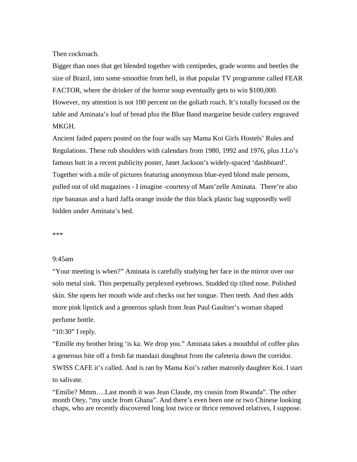Then cockroach.

Bigger than ones that get blended together with centipedes, grade worms and beetles the size of Brazil, into some smoothie from hell, in that popular TV programme called FEAR FACTOR, where the drinker of the horror soup eventually gets to win \$100,000. However, my attention is not 100 percent on the goliath roach. It's totally focused on the table and Aminata's loaf of bread plus the Blue Band margarine beside cutlery engraved MKGH.

Ancient faded papers posted on the four walls say Mama Koi Girls Hostels' Rules and Regulations. These rub shoulders with calendars from 1980, 1992 and 1976, plus J.Lo's famous butt in a recent publicity poster, Janet Jackson's widely-spaced 'dashboard'. Together with a mile of pictures featuring anonymous blue-eyed blond male persons, pulled out of old magazines - I imagine -courtesy of Mam'zelle Aminata. There're also ripe bananas and a hard Jaffa orange inside the thin black plastic bag supposedly well hidden under Aminata's bed.

\*\*\*

## 9:45am

"Your meeting is when?" Aminata is carefully studying her face in the mirror over our solo metal sink. Thin perpetually perplexed eyebrows. Studded tip tilted nose. Polished skin. She opens her mouth wide and checks out her tongue. Then teeth. And then adds more pink lipstick and a generous splash from Jean Paul Gaultier's woman shaped perfume bottle.

"10:30" I reply.

"Emille my brother bring 'is ka. We drop you." Aminata takes a mouthful of coffee plus a generous bite off a fresh fat mandazi doughnut from the cafeteria down the corridor. SWISS CAFE it's called. And is ran by Mama Koi's rather matronly daughter Koi. I start to salivate.

"Emilie? Mmm….Last month it was Jean Claude, my cousin from Rwanda". The other month Otey, "my uncle from Ghana". And there's even been one or two Chinese looking chaps, who are recently discovered long lost twice or thrice removed relatives, I suppose.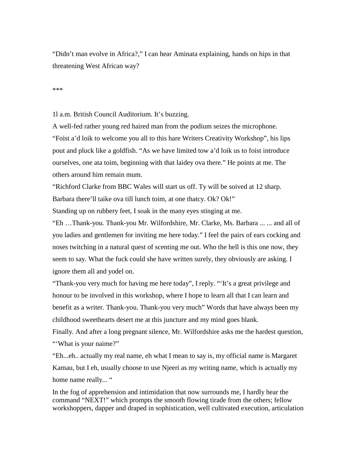"Didn't man evolve in Africa?," I can hear Aminata explaining, hands on hips in that threatening West African way?

\*\*\*

1l a.m. British Council Auditorium. It's buzzing.

A well-fed rather young red haired man from the podium seizes the microphone. "Foist a'd loik to welcome you all to this hare Writers Creativity Workshop", his lips pout and pluck like a goldfish. "As we have limited tow a'd loik us to foist introduce ourselves, one ata toim, beginning with that laidey ova there." He points at me. The others around him remain mum.

"Richford Clarke from BBC Wales will start us off. Ty will be soived at 12 sharp. Barbara there'll taike ova till lunch toim, at one thatcy. Ok? Ok!"

Standing up on rubbery feet, I soak in the many eyes stinging at me.

"Eh …Thank-you. Thank-you Mr. Wilfordshire, Mr. Clarke, Ms. Barbara ... ... and all of you ladies and gentlemen for inviting me here today." I feel the pairs of ears cocking and noses twitching in a natural quest of scenting me out. Who the hell is this one now, they seem to say. What the fuck could she have written surely, they obviously are asking. I ignore them all and yodel on.

"Thank-you very much for having me here today", I reply. "'It's a great privilege and honour to be involved in this workshop, where I hope to learn all that I can learn and benefit as a writer. Thank-you. Thank-you very much" Words that have always been my childhood sweethearts desert me at this juncture and my mind goes blank.

Finally. And after a long pregnant silence, Mr. Wilfordshire asks me the hardest question, "'What is your naime?"

"Eh...eh.. actually my real name, eh what I mean to say is, my official name is Margaret Kamau, but I eh, usually choose to use Njeeri as my writing name, which is actually my home name really... "

In the fog of apprehension and intimidation that now surrounds me, I hardly hear the command "NEXT!" which prompts the smooth flowing tirade from the others; fellow workshoppers, dapper and draped in sophistication, well cultivated execution, articulation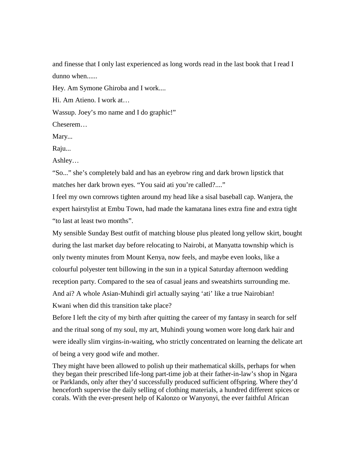and finesse that I only last experienced as long words read in the last book that I read I dunno when......

Hey. Am Symone Ghiroba and I work....

Hi. Am Atieno. I work at…

Wassup. Joey's mo name and I do graphic!"

Cheserem…

Mary...

Raju...

Ashley…

"So..." she's completely bald and has an eyebrow ring and dark brown lipstick that matches her dark brown eyes. "You said ati you're called?...."

I feel my own cornrows tighten around my head like a sisal baseball cap. Wanjera, the expert hairstylist at Embu Town, had made the kamatana lines extra fine and extra tight "to last at least two months".

My sensible Sunday Best outfit of matching blouse plus pleated long yellow skirt, bought during the last market day before relocating to Nairobi, at Manyatta township which is only twenty minutes from Mount Kenya, now feels, and maybe even looks, like a colourful polyester tent billowing in the sun in a typical Saturday afternoon wedding reception party. Compared to the sea of casual jeans and sweatshirts surrounding me. And ai? A whole Asian-Muhindi girl actually saying 'ati' like a true Nairobian! Kwani when did this transition take place?

Before I left the city of my birth after quitting the career of my fantasy in search for self and the ritual song of my soul, my art, Muhindi young women wore long dark hair and were ideally slim virgins-in-waiting, who strictly concentrated on learning the delicate art of being a very good wife and mother.

They might have been allowed to polish up their mathematical skills, perhaps for when they began their prescribed life-long part-time job at their father-in-law's shop in Ngara or Parklands, only after they'd successfully produced sufficient offspring. Where they'd henceforth supervise the daily selling of clothing materials, a hundred different spices or corals. With the ever-present help of Kalonzo or Wanyonyi, the ever faithful African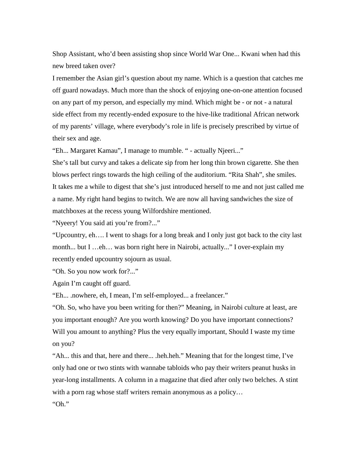Shop Assistant, who'd been assisting shop since World War One... Kwani when had this new breed taken over?

I remember the Asian girl's question about my name. Which is a question that catches me off guard nowadays. Much more than the shock of enjoying one-on-one attention focused on any part of my person, and especially my mind. Which might be - or not - a natural side effect from my recently-ended exposure to the hive-like traditional African network of my parents' village, where everybody's role in life is precisely prescribed by virtue of their sex and age.

"Eh... Margaret Kamau", I manage to mumble. " - actually Njeeri..."

She's tall but curvy and takes a delicate sip from her long thin brown cigarette. She then blows perfect rings towards the high ceiling of the auditorium. "Rita Shah", she smiles. It takes me a while to digest that she's just introduced herself to me and not just called me a name. My right hand begins to twitch. We are now all having sandwiches the size of matchboxes at the recess young Wilfordshire mentioned.

"Nyeery! You said ati you're from?..."

"Upcountry, eh…. I went to shags for a long break and I only just got back to the city last month... but I …eh… was born right here in Nairobi, actually..." I over-explain my recently ended upcountry sojourn as usual.

"Oh. So you now work for?..."

Again I'm caught off guard.

"Eh... .nowhere, eh, I mean, I'm self-employed... a freelancer."

"Oh. So, who have you been writing for then?" Meaning, in Nairobi culture at least, are you important enough? Are you worth knowing? Do you have important connections? Will you amount to anything? Plus the very equally important, Should I waste my time on you?

"Ah... this and that, here and there... .heh.heh." Meaning that for the longest time, I've only had one or two stints with wannabe tabloids who pay their writers peanut husks in year-long installments. A column in a magazine that died after only two belches. A stint with a porn rag whose staff writers remain anonymous as a policy...

"Oh."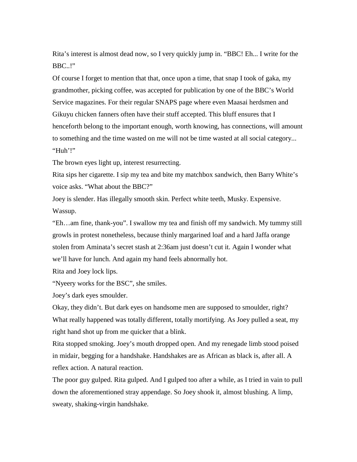Rita's interest is almost dead now, so I very quickly jump in. "BBC! Eh... I write for the BBC..!"

Of course I forget to mention that that, once upon a time, that snap I took of gaka, my grandmother, picking coffee, was accepted for publication by one of the BBC's World Service magazines. For their regular SNAPS page where even Maasai herdsmen and Gikuyu chicken fanners often have their stuff accepted. This bluff ensures that I henceforth belong to the important enough, worth knowing, has connections, will amount to something and the time wasted on me will not be time wasted at all social category... "Huh'!"

The brown eyes light up, interest resurrecting.

Rita sips her cigarette. I sip my tea and bite my matchbox sandwich, then Barry White's voice asks. "What about the BBC?"

Joey is slender. Has illegally smooth skin. Perfect white teeth, Musky. Expensive. Wassup.

"Eh…am fine, thank-you". I swallow my tea and finish off my sandwich. My tummy still growls in protest nonetheless, because thinly margarined loaf and a hard Jaffa orange stolen from Aminata's secret stash at 2:36am just doesn't cut it. Again I wonder what we'll have for lunch. And again my hand feels abnormally hot.

Rita and Joey lock lips.

"Nyeery works for the BSC", she smiles.

Joey's dark eyes smoulder.

Okay, they didn't. But dark eyes on handsome men are supposed to smoulder, right? What really happened was totally different, totally mortifying. As Joey pulled a seat, my right hand shot up from me quicker that a blink.

Rita stopped smoking. Joey's mouth dropped open. And my renegade limb stood poised in midair, begging for a handshake. Handshakes are as African as black is, after all. A reflex action. A natural reaction.

The poor guy gulped. Rita gulped. And I gulped too after a while, as I tried in vain to pull down the aforementioned stray appendage. So Joey shook it, almost blushing. A limp, sweaty, shaking-virgin handshake.